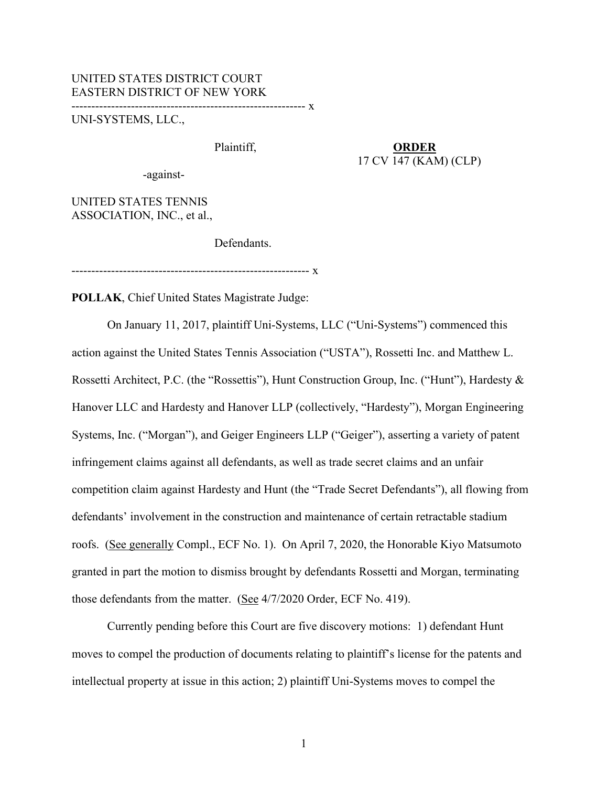### UNITED STATES DISTRICT COURT EASTERN DISTRICT OF NEW YORK ----------------------------------------------------------- x

UNI-SYSTEMS, LLC.,

# Plaintiff, **ORDER** 17 CV 147 (KAM) (CLP)

-against-

UNITED STATES TENNIS ASSOCIATION, INC., et al.,

Defendants.

------------------------------------------------------------ x

**POLLAK**, Chief United States Magistrate Judge:

 On January 11, 2017, plaintiff Uni-Systems, LLC ("Uni-Systems") commenced this action against the United States Tennis Association ("USTA"), Rossetti Inc. and Matthew L. Rossetti Architect, P.C. (the "Rossettis"), Hunt Construction Group, Inc. ("Hunt"), Hardesty & Hanover LLC and Hardesty and Hanover LLP (collectively, "Hardesty"), Morgan Engineering Systems, Inc. ("Morgan"), and Geiger Engineers LLP ("Geiger"), asserting a variety of patent infringement claims against all defendants, as well as trade secret claims and an unfair competition claim against Hardesty and Hunt (the "Trade Secret Defendants"), all flowing from defendants' involvement in the construction and maintenance of certain retractable stadium roofs. (See generally Compl., ECF No. 1). On April 7, 2020, the Honorable Kiyo Matsumoto granted in part the motion to dismiss brought by defendants Rossetti and Morgan, terminating those defendants from the matter. (See 4/7/2020 Order, ECF No. 419).

Currently pending before this Court are five discovery motions: 1) defendant Hunt moves to compel the production of documents relating to plaintiff's license for the patents and intellectual property at issue in this action; 2) plaintiff Uni-Systems moves to compel the

1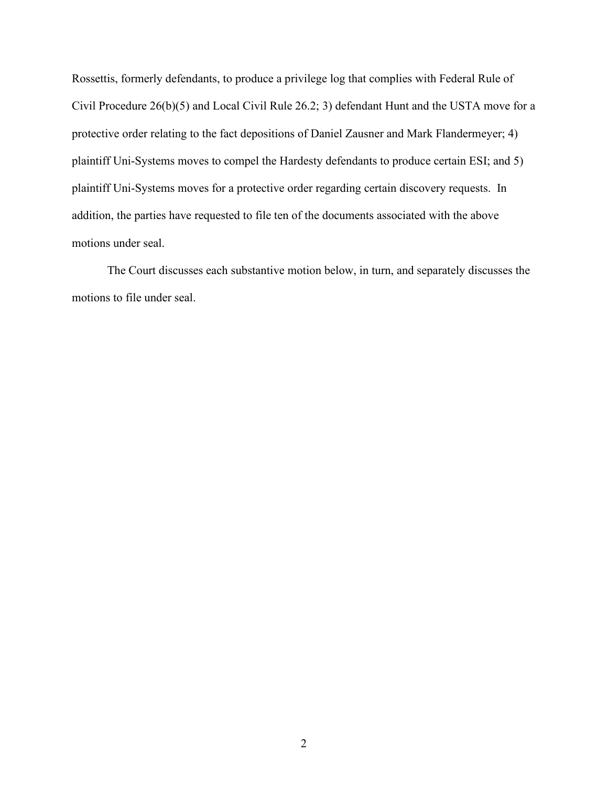Rossettis, formerly defendants, to produce a privilege log that complies with Federal Rule of Civil Procedure 26(b)(5) and Local Civil Rule 26.2; 3) defendant Hunt and the USTA move for a protective order relating to the fact depositions of Daniel Zausner and Mark Flandermeyer; 4) plaintiff Uni-Systems moves to compel the Hardesty defendants to produce certain ESI; and 5) plaintiff Uni-Systems moves for a protective order regarding certain discovery requests. In addition, the parties have requested to file ten of the documents associated with the above motions under seal.

The Court discusses each substantive motion below, in turn, and separately discusses the motions to file under seal.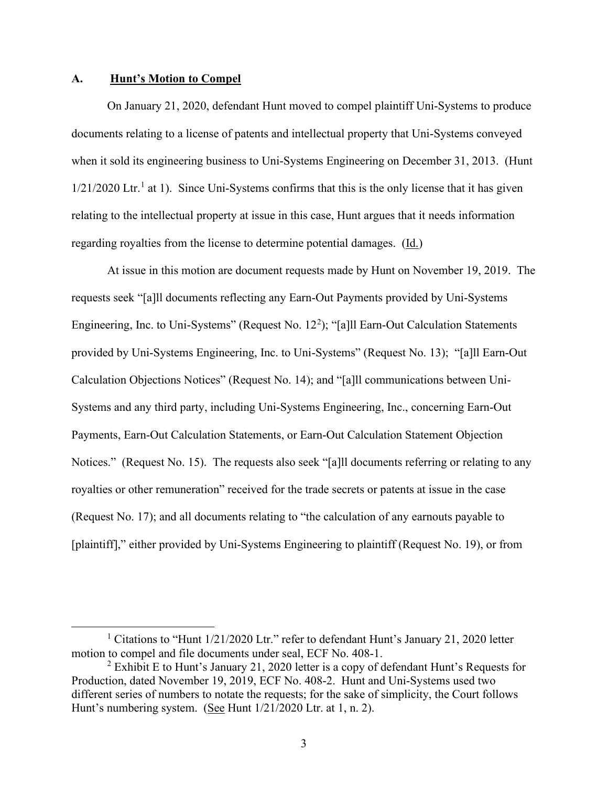### **A. Hunt's Motion to Compel**

On January 21, 2020, defendant Hunt moved to compel plaintiff Uni-Systems to produce documents relating to a license of patents and intellectual property that Uni-Systems conveyed when it sold its engineering business to Uni-Systems Engineering on December 31, 2013. (Hunt  $1/21/2020$  $1/21/2020$  Ltr.<sup>1</sup> at 1). Since Uni-Systems confirms that this is the only license that it has given relating to the intellectual property at issue in this case, Hunt argues that it needs information regarding royalties from the license to determine potential damages. (Id.)

At issue in this motion are document requests made by Hunt on November 19, 2019. The requests seek "[a]ll documents reflecting any Earn-Out Payments provided by Uni-Systems Engineering, Inc. to Uni-Systems" (Request No. 1[2](#page-2-1)<sup>2</sup>); "[a]ll Earn-Out Calculation Statements provided by Uni-Systems Engineering, Inc. to Uni-Systems" (Request No. 13); "[a]ll Earn-Out Calculation Objections Notices" (Request No. 14); and "[a]ll communications between Uni-Systems and any third party, including Uni-Systems Engineering, Inc., concerning Earn-Out Payments, Earn-Out Calculation Statements, or Earn-Out Calculation Statement Objection Notices." (Request No. 15). The requests also seek "[a]ll documents referring or relating to any royalties or other remuneration" received for the trade secrets or patents at issue in the case (Request No. 17); and all documents relating to "the calculation of any earnouts payable to [plaintiff]," either provided by Uni-Systems Engineering to plaintiff (Request No. 19), or from

<span id="page-2-0"></span><sup>&</sup>lt;sup>1</sup> Citations to "Hunt  $1/21/2020$  Ltr." refer to defendant Hunt's January 21, 2020 letter motion to compel and file documents under seal, ECF No. 408-1.<br><sup>2</sup> Exhibit E to Hunt's January 21, 2020 letter is a copy of defendant Hunt's Requests for

<span id="page-2-1"></span>Production, dated November 19, 2019, ECF No. 408-2. Hunt and Uni-Systems used two different series of numbers to notate the requests; for the sake of simplicity, the Court follows Hunt's numbering system. (See Hunt  $1/21/2020$  Ltr. at 1, n. 2).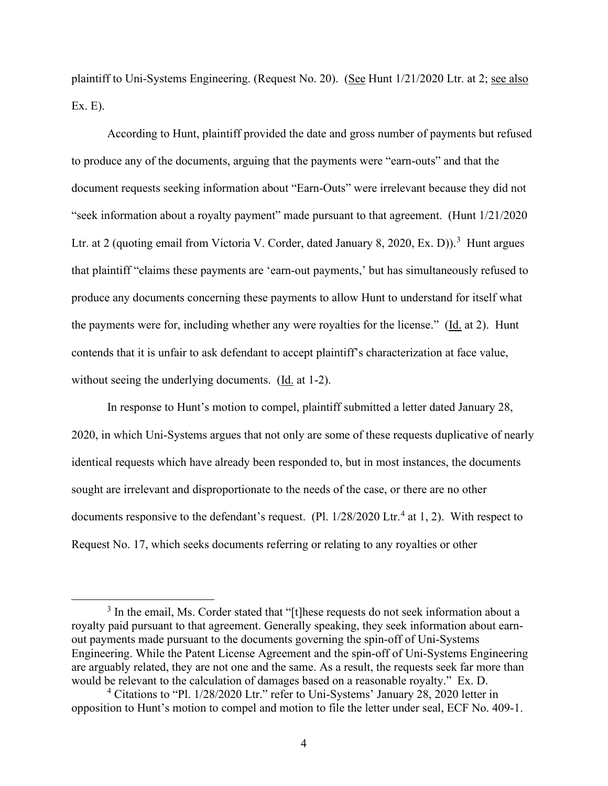plaintiff to Uni-Systems Engineering. (Request No. 20). (See Hunt 1/21/2020 Ltr. at 2; see also Ex. E).

According to Hunt, plaintiff provided the date and gross number of payments but refused to produce any of the documents, arguing that the payments were "earn-outs" and that the document requests seeking information about "Earn-Outs" were irrelevant because they did not "seek information about a royalty payment" made pursuant to that agreement. (Hunt 1/21/2020 Ltr. at 2 (quoting email from Victoria V. Corder, dated January 8, 2020, Ex. D)).<sup>[3](#page-3-0)</sup> Hunt argues that plaintiff "claims these payments are 'earn-out payments,' but has simultaneously refused to produce any documents concerning these payments to allow Hunt to understand for itself what the payments were for, including whether any were royalties for the license." (Id. at 2). Hunt contends that it is unfair to ask defendant to accept plaintiff's characterization at face value, without seeing the underlying documents. (Id. at 1-2).

In response to Hunt's motion to compel, plaintiff submitted a letter dated January 28, 2020, in which Uni-Systems argues that not only are some of these requests duplicative of nearly identical requests which have already been responded to, but in most instances, the documents sought are irrelevant and disproportionate to the needs of the case, or there are no other documents responsive to the defendant's request. (Pl.  $1/28/2020$  Ltr.<sup>[4](#page-3-1)</sup> at 1, 2). With respect to Request No. 17, which seeks documents referring or relating to any royalties or other

<span id="page-3-0"></span><sup>&</sup>lt;sup>3</sup> In the email, Ms. Corder stated that "[t]hese requests do not seek information about a royalty paid pursuant to that agreement. Generally speaking, they seek information about earnout payments made pursuant to the documents governing the spin-off of Uni-Systems Engineering. While the Patent License Agreement and the spin-off of Uni-Systems Engineering are arguably related, they are not one and the same. As a result, the requests seek far more than would be relevant to the calculation of damages based on a reasonable royalty." Ex. D.

<span id="page-3-1"></span><sup>4</sup> Citations to "Pl. 1/28/2020 Ltr." refer to Uni-Systems' January 28, 2020 letter in opposition to Hunt's motion to compel and motion to file the letter under seal, ECF No. 409-1.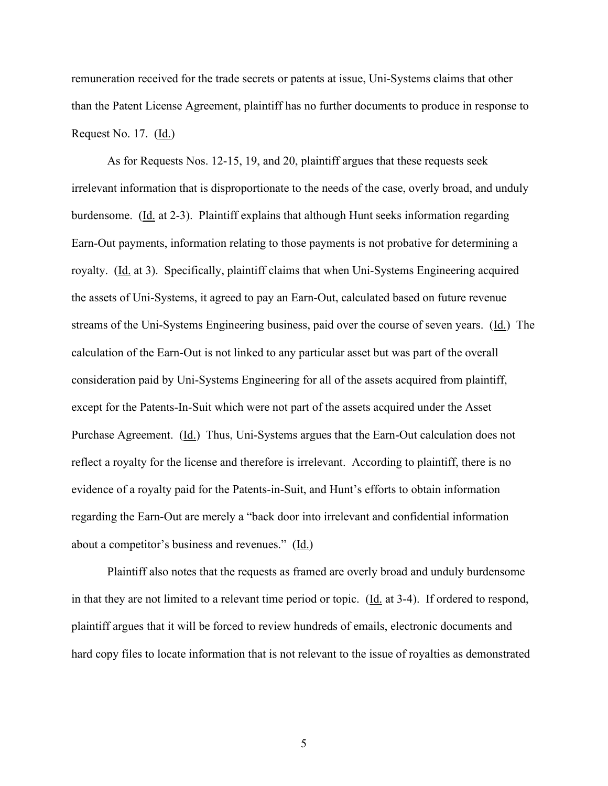remuneration received for the trade secrets or patents at issue, Uni-Systems claims that other than the Patent License Agreement, plaintiff has no further documents to produce in response to Request No. 17. (Id.)

As for Requests Nos. 12-15, 19, and 20, plaintiff argues that these requests seek irrelevant information that is disproportionate to the needs of the case, overly broad, and unduly burdensome. (Id. at 2-3). Plaintiff explains that although Hunt seeks information regarding Earn-Out payments, information relating to those payments is not probative for determining a royalty. (Id. at 3). Specifically, plaintiff claims that when Uni-Systems Engineering acquired the assets of Uni-Systems, it agreed to pay an Earn-Out, calculated based on future revenue streams of the Uni-Systems Engineering business, paid over the course of seven years. (Id.) The calculation of the Earn-Out is not linked to any particular asset but was part of the overall consideration paid by Uni-Systems Engineering for all of the assets acquired from plaintiff, except for the Patents-In-Suit which were not part of the assets acquired under the Asset Purchase Agreement. (Id.) Thus, Uni-Systems argues that the Earn-Out calculation does not reflect a royalty for the license and therefore is irrelevant. According to plaintiff, there is no evidence of a royalty paid for the Patents-in-Suit, and Hunt's efforts to obtain information regarding the Earn-Out are merely a "back door into irrelevant and confidential information about a competitor's business and revenues." (Id.)

Plaintiff also notes that the requests as framed are overly broad and unduly burdensome in that they are not limited to a relevant time period or topic. (Id. at 3-4). If ordered to respond, plaintiff argues that it will be forced to review hundreds of emails, electronic documents and hard copy files to locate information that is not relevant to the issue of royalties as demonstrated

5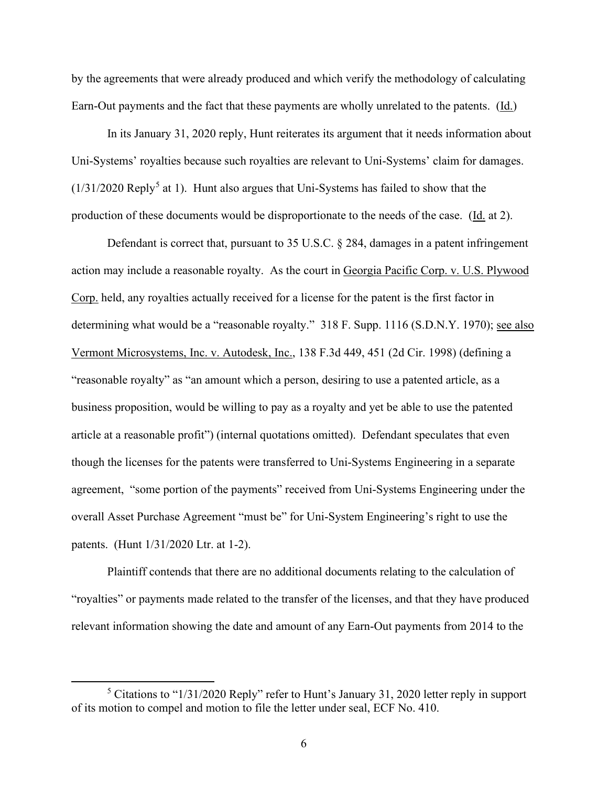by the agreements that were already produced and which verify the methodology of calculating Earn-Out payments and the fact that these payments are wholly unrelated to the patents. (Id.)

In its January 31, 2020 reply, Hunt reiterates its argument that it needs information about Uni-Systems' royalties because such royalties are relevant to Uni-Systems' claim for damages.  $(1/31/2020$  Reply<sup>[5](#page-5-0)</sup> at 1). Hunt also argues that Uni-Systems has failed to show that the production of these documents would be disproportionate to the needs of the case. (Id. at 2).

Defendant is correct that, pursuant to 35 U.S.C. § 284, damages in a patent infringement action may include a reasonable royalty. As the court in Georgia Pacific Corp. v. U.S. Plywood Corp. held, any royalties actually received for a license for the patent is the first factor in determining what would be a "reasonable royalty." 318 F. Supp. 1116 (S.D.N.Y. 1970); see also Vermont Microsystems, Inc. v. Autodesk, Inc., 138 F.3d 449, 451 (2d Cir. 1998) (defining a "reasonable royalty" as "an amount which a person, desiring to use a patented article, as a business proposition, would be willing to pay as a royalty and yet be able to use the patented article at a reasonable profit") (internal quotations omitted). Defendant speculates that even though the licenses for the patents were transferred to Uni-Systems Engineering in a separate agreement, "some portion of the payments" received from Uni-Systems Engineering under the overall Asset Purchase Agreement "must be" for Uni-System Engineering's right to use the patents. (Hunt 1/31/2020 Ltr. at 1-2).

Plaintiff contends that there are no additional documents relating to the calculation of "royalties" or payments made related to the transfer of the licenses, and that they have produced relevant information showing the date and amount of any Earn-Out payments from 2014 to the

<span id="page-5-0"></span><sup>5</sup> Citations to "1/31/2020 Reply" refer to Hunt's January 31, 2020 letter reply in support of its motion to compel and motion to file the letter under seal, ECF No. 410.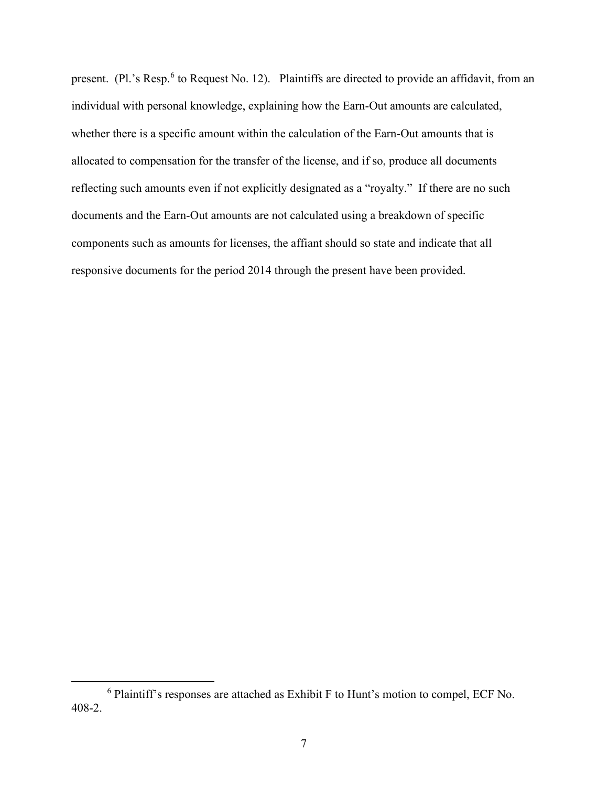present. (Pl.'s Resp.<sup>[6](#page-6-0)</sup> to Request No. 12). Plaintiffs are directed to provide an affidavit, from an individual with personal knowledge, explaining how the Earn-Out amounts are calculated, whether there is a specific amount within the calculation of the Earn-Out amounts that is allocated to compensation for the transfer of the license, and if so, produce all documents reflecting such amounts even if not explicitly designated as a "royalty." If there are no such documents and the Earn-Out amounts are not calculated using a breakdown of specific components such as amounts for licenses, the affiant should so state and indicate that all responsive documents for the period 2014 through the present have been provided.

<span id="page-6-0"></span><sup>6</sup> Plaintiff's responses are attached as Exhibit F to Hunt's motion to compel, ECF No. 408-2.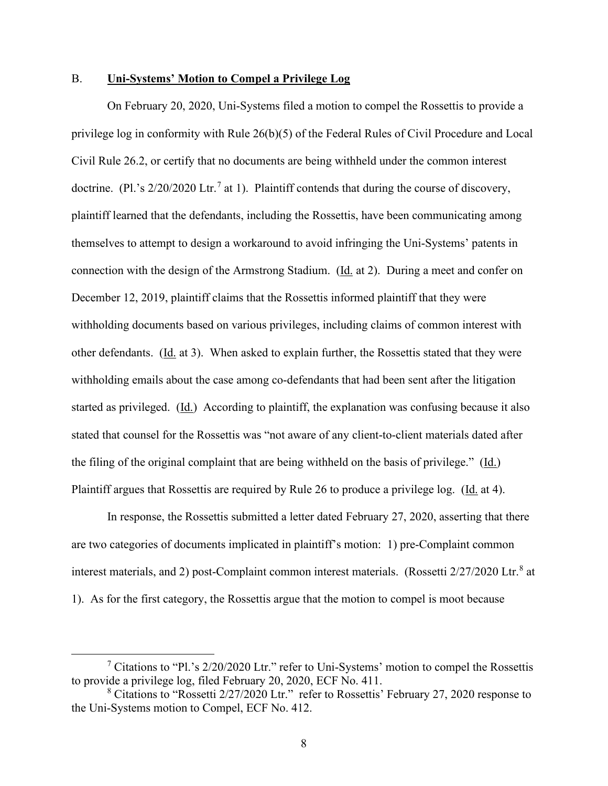### B. **Uni-Systems' Motion to Compel a Privilege Log**

On February 20, 2020, Uni-Systems filed a motion to compel the Rossettis to provide a privilege log in conformity with Rule 26(b)(5) of the Federal Rules of Civil Procedure and Local Civil Rule 26.2, or certify that no documents are being withheld under the common interest doctrine. (Pl.'s  $2/20/2020$  Ltr.<sup>[7](#page-7-0)</sup> at 1). Plaintiff contends that during the course of discovery, plaintiff learned that the defendants, including the Rossettis, have been communicating among themselves to attempt to design a workaround to avoid infringing the Uni-Systems' patents in connection with the design of the Armstrong Stadium. (Id. at 2). During a meet and confer on December 12, 2019, plaintiff claims that the Rossettis informed plaintiff that they were withholding documents based on various privileges, including claims of common interest with other defendants. (Id. at 3). When asked to explain further, the Rossettis stated that they were withholding emails about the case among co-defendants that had been sent after the litigation started as privileged. (Id.) According to plaintiff, the explanation was confusing because it also stated that counsel for the Rossettis was "not aware of any client-to-client materials dated after the filing of the original complaint that are being withheld on the basis of privilege." ( $\underline{Id}$ .) Plaintiff argues that Rossettis are required by Rule 26 to produce a privilege log. (Id. at 4).

In response, the Rossettis submitted a letter dated February 27, 2020, asserting that there are two categories of documents implicated in plaintiff's motion: 1) pre-Complaint common interest materials, and 2) post-Complaint common interest materials. (Rossetti 2/27/2020 Ltr.<sup>[8](#page-7-1)</sup> at 1). As for the first category, the Rossettis argue that the motion to compel is moot because

<span id="page-7-0"></span> $\frac{7}{1}$  Citations to "Pl.'s 2/20/2020 Ltr." refer to Uni-Systems' motion to compel the Rossettis to provide a privilege log, filed February 20, 2020, ECF No. 411.

<span id="page-7-1"></span><sup>8</sup> Citations to "Rossetti 2/27/2020 Ltr." refer to Rossettis' February 27, 2020 response to the Uni-Systems motion to Compel, ECF No. 412.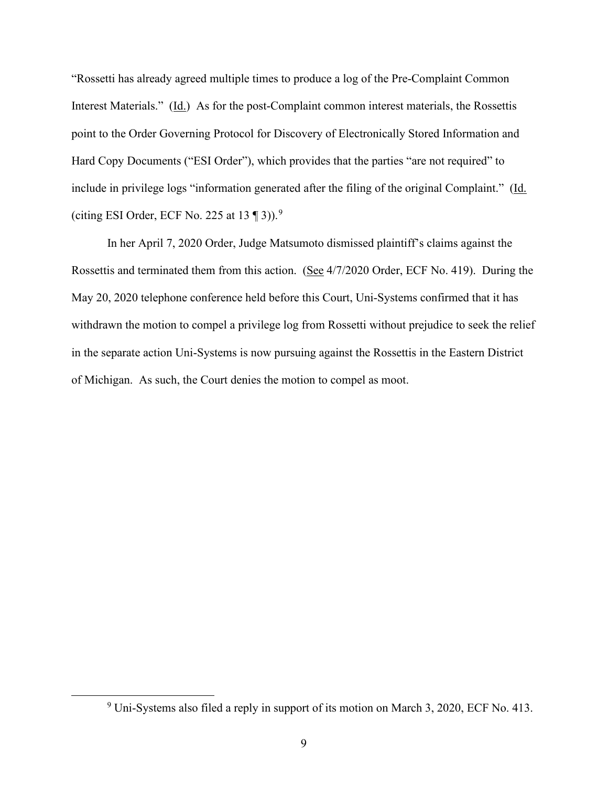"Rossetti has already agreed multiple times to produce a log of the Pre-Complaint Common Interest Materials." (Id.) As for the post-Complaint common interest materials, the Rossettis point to the Order Governing Protocol for Discovery of Electronically Stored Information and Hard Copy Documents ("ESI Order"), which provides that the parties "are not required" to include in privilege logs "information generated after the filing of the original Complaint." (Id. (citing ESI Order, ECF No. 225 at  $13 \text{ } \textcircled{1} 3$ )).<sup>[9](#page-8-0)</sup>

In her April 7, 2020 Order, Judge Matsumoto dismissed plaintiff's claims against the Rossettis and terminated them from this action. (See 4/7/2020 Order, ECF No. 419). During the May 20, 2020 telephone conference held before this Court, Uni-Systems confirmed that it has withdrawn the motion to compel a privilege log from Rossetti without prejudice to seek the relief in the separate action Uni-Systems is now pursuing against the Rossettis in the Eastern District of Michigan. As such, the Court denies the motion to compel as moot.

<span id="page-8-0"></span><sup>9</sup> Uni-Systems also filed a reply in support of its motion on March 3, 2020, ECF No. 413.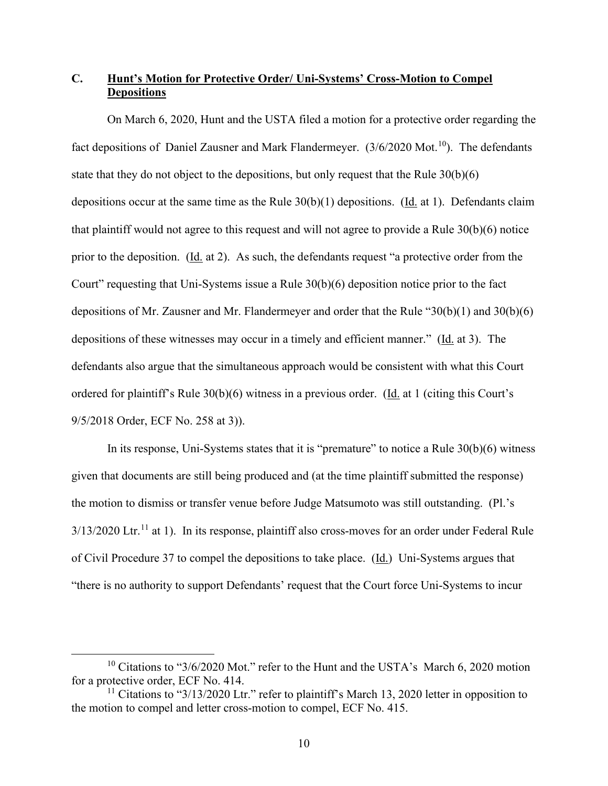# **C. Hunt's Motion for Protective Order/ Uni-Systems' Cross-Motion to Compel Depositions**

On March 6, 2020, Hunt and the USTA filed a motion for a protective order regarding the fact depositions of Daniel Zausner and Mark Flandermeyer.  $(3/6/2020 \text{ Mot.}^{10})$ . The defendants state that they do not object to the depositions, but only request that the Rule 30(b)(6) depositions occur at the same time as the Rule 30(b)(1) depositions. (Id. at 1). Defendants claim that plaintiff would not agree to this request and will not agree to provide a Rule 30(b)(6) notice prior to the deposition. (Id. at 2). As such, the defendants request "a protective order from the Court" requesting that Uni-Systems issue a Rule 30(b)(6) deposition notice prior to the fact depositions of Mr. Zausner and Mr. Flandermeyer and order that the Rule "30(b)(1) and 30(b)(6) depositions of these witnesses may occur in a timely and efficient manner." (Id. at 3). The defendants also argue that the simultaneous approach would be consistent with what this Court ordered for plaintiff's Rule 30(b)(6) witness in a previous order. (Id. at 1 (citing this Court's 9/5/2018 Order, ECF No. 258 at 3)).

In its response, Uni-Systems states that it is "premature" to notice a Rule 30(b)(6) witness given that documents are still being produced and (at the time plaintiff submitted the response) the motion to dismiss or transfer venue before Judge Matsumoto was still outstanding. (Pl.'s  $3/13/2020$  Ltr.<sup>[11](#page-9-1)</sup> at 1). In its response, plaintiff also cross-moves for an order under Federal Rule of Civil Procedure 37 to compel the depositions to take place. (Id.) Uni-Systems argues that "there is no authority to support Defendants' request that the Court force Uni-Systems to incur

<span id="page-9-0"></span><sup>&</sup>lt;sup>10</sup> Citations to "3/6/2020 Mot." refer to the Hunt and the USTA's March 6, 2020 motion for a protective order, ECF No. 414.

<span id="page-9-1"></span><sup>&</sup>lt;sup>11</sup> Citations to " $3/13/2020$  Ltr." refer to plaintiff's March 13, 2020 letter in opposition to the motion to compel and letter cross-motion to compel, ECF No. 415.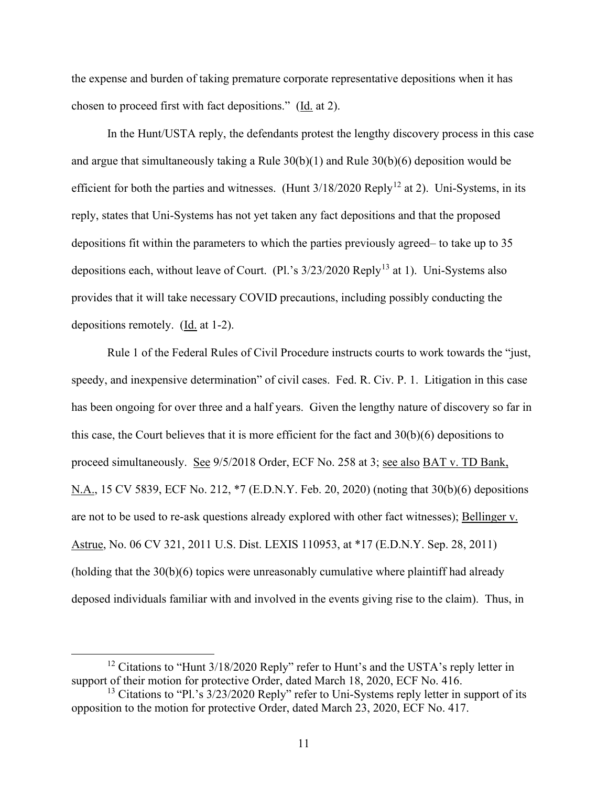the expense and burden of taking premature corporate representative depositions when it has chosen to proceed first with fact depositions." (Id. at 2).

In the Hunt/USTA reply, the defendants protest the lengthy discovery process in this case and argue that simultaneously taking a Rule 30(b)(1) and Rule 30(b)(6) deposition would be efficient for both the parties and witnesses. (Hunt  $3/18/2020$  Reply<sup>[12](#page-10-0)</sup> at 2). Uni-Systems, in its reply, states that Uni-Systems has not yet taken any fact depositions and that the proposed depositions fit within the parameters to which the parties previously agreed– to take up to 35 depositions each, without leave of Court. (Pl.'s  $3/23/2020$  Reply<sup>[13](#page-10-1)</sup> at 1). Uni-Systems also provides that it will take necessary COVID precautions, including possibly conducting the depositions remotely. (Id. at 1-2).

Rule 1 of the Federal Rules of Civil Procedure instructs courts to work towards the "just, speedy, and inexpensive determination" of civil cases. Fed. R. Civ. P. 1. Litigation in this case has been ongoing for over three and a half years. Given the lengthy nature of discovery so far in this case, the Court believes that it is more efficient for the fact and 30(b)(6) depositions to proceed simultaneously. See 9/5/2018 Order, ECF No. 258 at 3; see also BAT v. TD Bank, N.A., 15 CV 5839, ECF No. 212, \*7 (E.D.N.Y. Feb. 20, 2020) (noting that 30(b)(6) depositions are not to be used to re-ask questions already explored with other fact witnesses); Bellinger v. Astrue, No. 06 CV 321, 2011 U.S. Dist. LEXIS 110953, at \*17 (E.D.N.Y. Sep. 28, 2011) (holding that the 30(b)(6) topics were unreasonably cumulative where plaintiff had already deposed individuals familiar with and involved in the events giving rise to the claim). Thus, in

<span id="page-10-0"></span> $12$  Citations to "Hunt 3/18/2020 Reply" refer to Hunt's and the USTA's reply letter in support of their motion for protective Order, dated March 18, 2020, ECF No. 416.

<span id="page-10-1"></span><sup>&</sup>lt;sup>13</sup> Citations to "Pl.'s  $3/23/2020$  Reply" refer to Uni-Systems reply letter in support of its opposition to the motion for protective Order, dated March 23, 2020, ECF No. 417.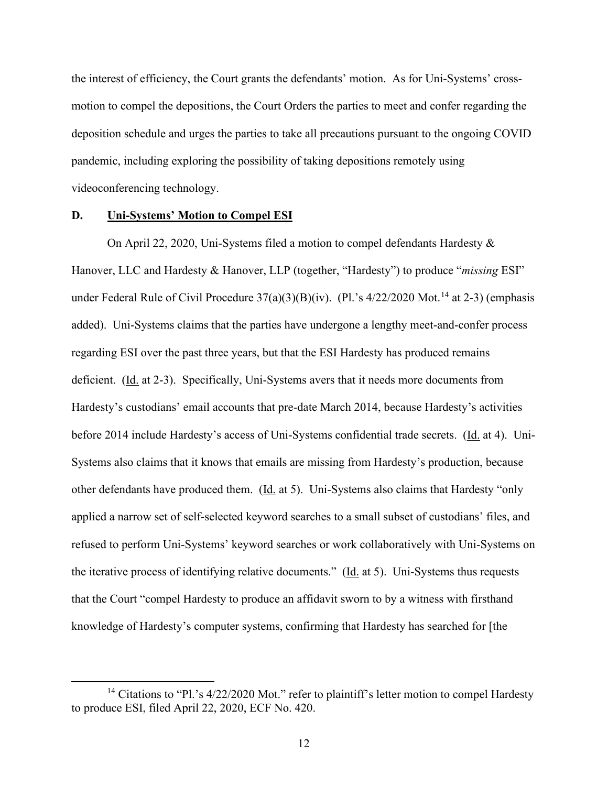the interest of efficiency, the Court grants the defendants' motion. As for Uni-Systems' crossmotion to compel the depositions, the Court Orders the parties to meet and confer regarding the deposition schedule and urges the parties to take all precautions pursuant to the ongoing COVID pandemic, including exploring the possibility of taking depositions remotely using videoconferencing technology.

#### **D. Uni-Systems' Motion to Compel ESI**

On April 22, 2020, Uni-Systems filed a motion to compel defendants Hardesty & Hanover, LLC and Hardesty & Hanover, LLP (together, "Hardesty") to produce "*missing* ESI" under Federal Rule of Civil Procedure  $37(a)(3)(B)(iv)$ . (Pl.'s  $4/22/2020$  Mot.<sup>[14](#page-11-0)</sup> at 2-3) (emphasis added). Uni-Systems claims that the parties have undergone a lengthy meet-and-confer process regarding ESI over the past three years, but that the ESI Hardesty has produced remains deficient. (Id. at 2-3). Specifically, Uni-Systems avers that it needs more documents from Hardesty's custodians' email accounts that pre-date March 2014, because Hardesty's activities before 2014 include Hardesty's access of Uni-Systems confidential trade secrets. (Id. at 4). Uni-Systems also claims that it knows that emails are missing from Hardesty's production, because other defendants have produced them. (Id. at 5). Uni-Systems also claims that Hardesty "only applied a narrow set of self-selected keyword searches to a small subset of custodians' files, and refused to perform Uni-Systems' keyword searches or work collaboratively with Uni-Systems on the iterative process of identifying relative documents." (Id. at 5). Uni-Systems thus requests that the Court "compel Hardesty to produce an affidavit sworn to by a witness with firsthand knowledge of Hardesty's computer systems, confirming that Hardesty has searched for [the

<span id="page-11-0"></span><sup>&</sup>lt;sup>14</sup> Citations to "Pl.'s  $4/22/2020$  Mot." refer to plaintiff's letter motion to compel Hardesty to produce ESI, filed April 22, 2020, ECF No. 420.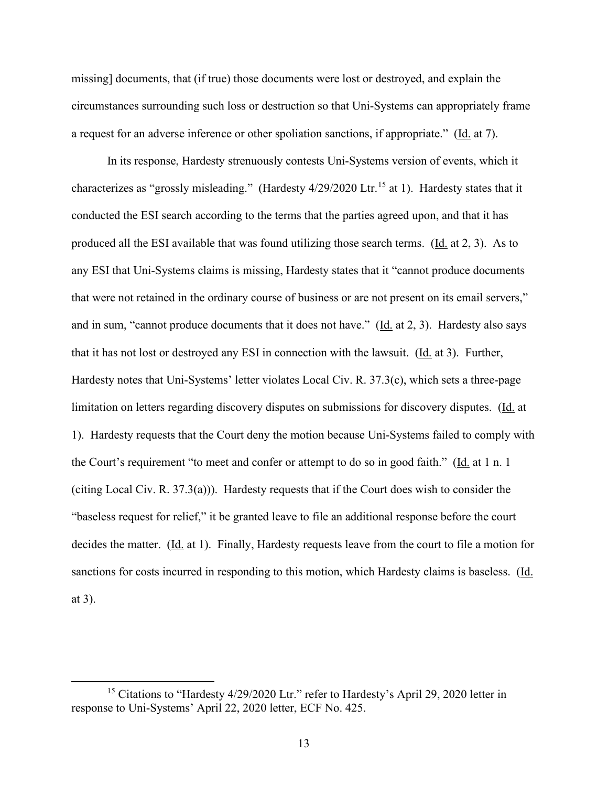missing] documents, that (if true) those documents were lost or destroyed, and explain the circumstances surrounding such loss or destruction so that Uni-Systems can appropriately frame a request for an adverse inference or other spoliation sanctions, if appropriate." (Id. at 7).

In its response, Hardesty strenuously contests Uni-Systems version of events, which it characterizes as "grossly misleading." (Hardesty  $4/29/2020$  Ltr.<sup>[15](#page-12-0)</sup> at 1). Hardesty states that it conducted the ESI search according to the terms that the parties agreed upon, and that it has produced all the ESI available that was found utilizing those search terms. (Id. at 2, 3). As to any ESI that Uni-Systems claims is missing, Hardesty states that it "cannot produce documents that were not retained in the ordinary course of business or are not present on its email servers," and in sum, "cannot produce documents that it does not have." ( $\underline{Id}$ , at 2, 3). Hardesty also says that it has not lost or destroyed any ESI in connection with the lawsuit. (Id. at 3). Further, Hardesty notes that Uni-Systems' letter violates Local Civ. R. 37.3(c), which sets a three-page limitation on letters regarding discovery disputes on submissions for discovery disputes. (Id. at 1). Hardesty requests that the Court deny the motion because Uni-Systems failed to comply with the Court's requirement "to meet and confer or attempt to do so in good faith." (Id. at 1 n. 1) (citing Local Civ. R. 37.3(a))). Hardesty requests that if the Court does wish to consider the "baseless request for relief," it be granted leave to file an additional response before the court decides the matter. (Id. at 1). Finally, Hardesty requests leave from the court to file a motion for sanctions for costs incurred in responding to this motion, which Hardesty claims is baseless. (Id. at 3).

<span id="page-12-0"></span><sup>&</sup>lt;sup>15</sup> Citations to "Hardesty 4/29/2020 Ltr." refer to Hardesty's April 29, 2020 letter in response to Uni-Systems' April 22, 2020 letter, ECF No. 425.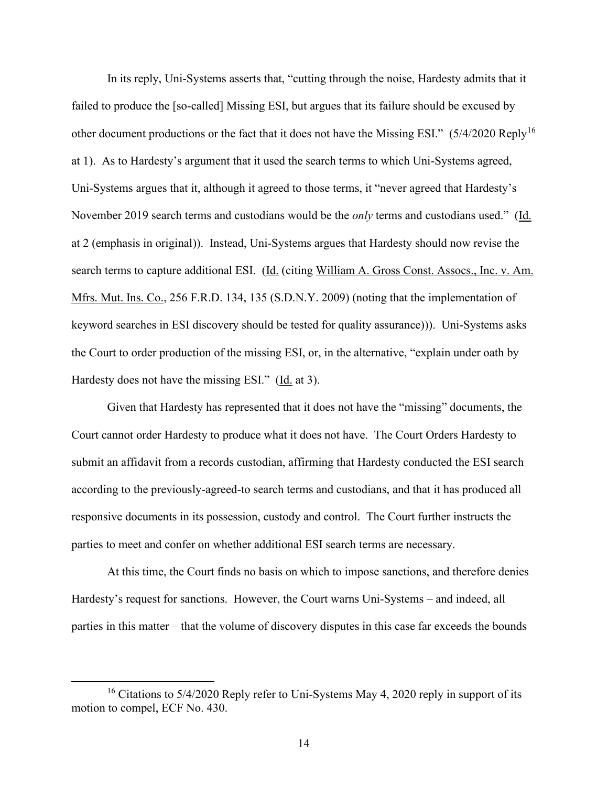In its reply, Uni-Systems asserts that, "cutting through the noise, Hardesty admits that it failed to produce the [so-called] Missing ESI, but argues that its failure should be excused by other document productions or the fact that it does not have the Missing ESI." (5/4/2020 Reply[16](#page-13-0) at 1). As to Hardesty's argument that it used the search terms to which Uni-Systems agreed, Uni-Systems argues that it, although it agreed to those terms, it "never agreed that Hardesty's November 2019 search terms and custodians would be the *only* terms and custodians used." (Id. at 2 (emphasis in original)). Instead, Uni-Systems argues that Hardesty should now revise the search terms to capture additional ESI. (Id. (citing William A. Gross Const. Assocs., Inc. v. Am. Mfrs. Mut. Ins. Co., 256 F.R.D. 134, 135 (S.D.N.Y. 2009) (noting that the implementation of keyword searches in ESI discovery should be tested for quality assurance))). Uni-Systems asks the Court to order production of the missing ESI, or, in the alternative, "explain under oath by Hardesty does not have the missing ESI." (Id. at 3).

Given that Hardesty has represented that it does not have the "missing" documents, the Court cannot order Hardesty to produce what it does not have. The Court Orders Hardesty to submit an affidavit from a records custodian, affirming that Hardesty conducted the ESI search according to the previously-agreed-to search terms and custodians, and that it has produced all responsive documents in its possession, custody and control. The Court further instructs the parties to meet and confer on whether additional ESI search terms are necessary.

At this time, the Court finds no basis on which to impose sanctions, and therefore denies Hardesty's request for sanctions. However, the Court warns Uni-Systems – and indeed, all parties in this matter – that the volume of discovery disputes in this case far exceeds the bounds

<span id="page-13-0"></span><sup>&</sup>lt;sup>16</sup> Citations to 5/4/2020 Reply refer to Uni-Systems May 4, 2020 reply in support of its motion to compel, ECF No. 430.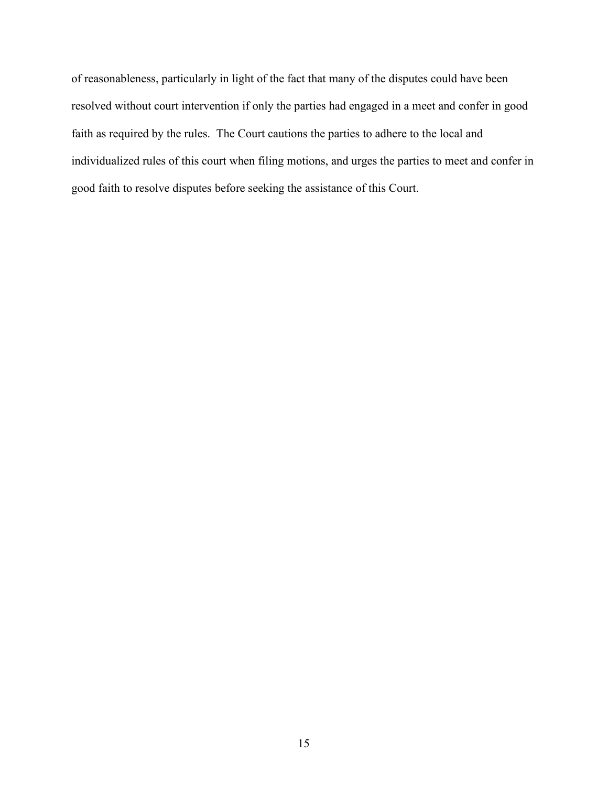of reasonableness, particularly in light of the fact that many of the disputes could have been resolved without court intervention if only the parties had engaged in a meet and confer in good faith as required by the rules. The Court cautions the parties to adhere to the local and individualized rules of this court when filing motions, and urges the parties to meet and confer in good faith to resolve disputes before seeking the assistance of this Court.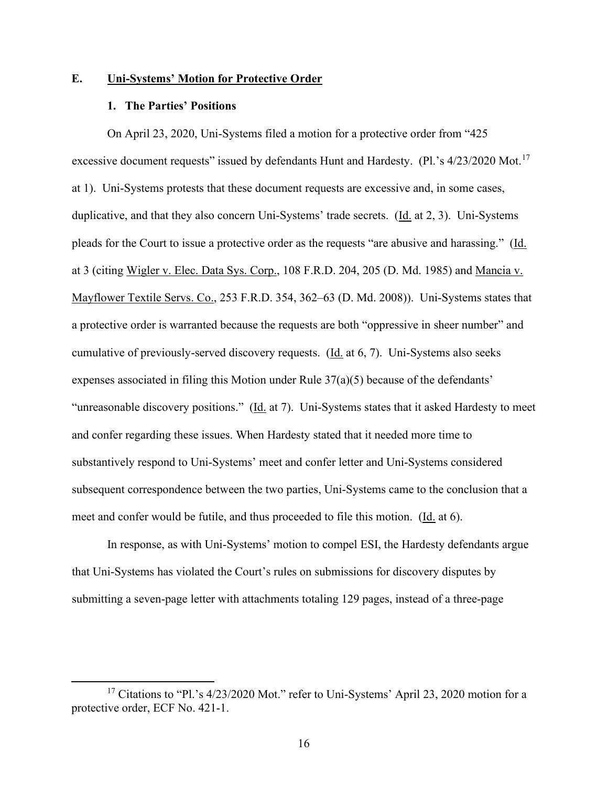# **E. Uni-Systems' Motion for Protective Order**

#### **1. The Parties' Positions**

On April 23, 2020, Uni-Systems filed a motion for a protective order from "425 excessive document requests" issued by defendants Hunt and Hardesty. (Pl.'s 4/23/2020 Mot.<sup>[17](#page-15-0)</sup> at 1). Uni-Systems protests that these document requests are excessive and, in some cases, duplicative, and that they also concern Uni-Systems' trade secrets. (Id. at 2, 3). Uni-Systems pleads for the Court to issue a protective order as the requests "are abusive and harassing." (Id. at 3 (citing Wigler v. Elec. Data Sys. Corp., 108 F.R.D. 204, 205 (D. Md. 1985) and Mancia v. Mayflower Textile Servs. Co., 253 F.R.D. 354, 362–63 (D. Md. 2008)). Uni-Systems states that a protective order is warranted because the requests are both "oppressive in sheer number" and cumulative of previously-served discovery requests. (Id. at 6, 7). Uni-Systems also seeks expenses associated in filing this Motion under Rule  $37(a)(5)$  because of the defendants' "unreasonable discovery positions." (Id. at 7). Uni-Systems states that it asked Hardesty to meet and confer regarding these issues. When Hardesty stated that it needed more time to substantively respond to Uni-Systems' meet and confer letter and Uni-Systems considered subsequent correspondence between the two parties, Uni-Systems came to the conclusion that a meet and confer would be futile, and thus proceeded to file this motion. (Id. at 6).

In response, as with Uni-Systems' motion to compel ESI, the Hardesty defendants argue that Uni-Systems has violated the Court's rules on submissions for discovery disputes by submitting a seven-page letter with attachments totaling 129 pages, instead of a three-page

<span id="page-15-0"></span><sup>&</sup>lt;sup>17</sup> Citations to "Pl.'s 4/23/2020 Mot." refer to Uni-Systems' April 23, 2020 motion for a protective order, ECF No. 421-1.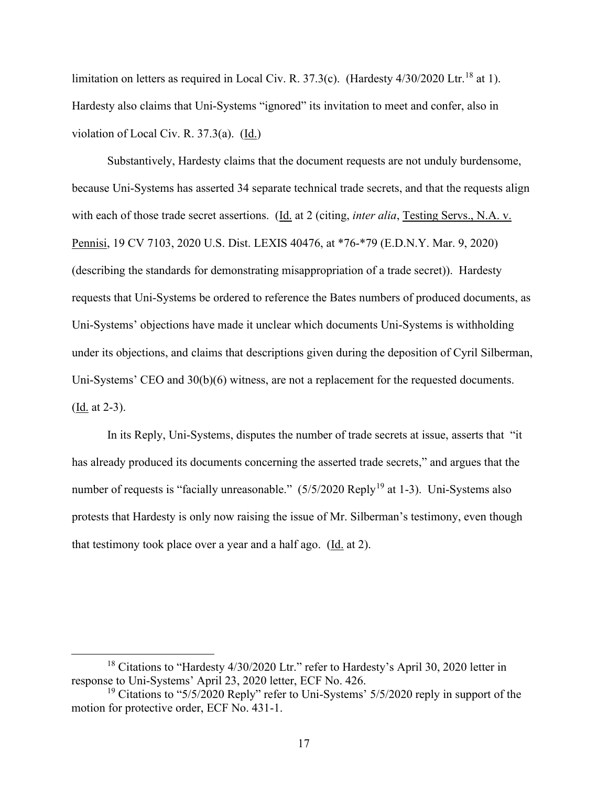limitation on letters as required in Local Civ. R.  $37.3(c)$ . (Hardesty  $4/30/2020$  Ltr.<sup>[18](#page-16-0)</sup> at 1). Hardesty also claims that Uni-Systems "ignored" its invitation to meet and confer, also in violation of Local Civ. R. 37.3(a). (Id.)

Substantively, Hardesty claims that the document requests are not unduly burdensome, because Uni-Systems has asserted 34 separate technical trade secrets, and that the requests align with each of those trade secret assertions. (Id. at 2 (citing, *inter alia*, Testing Servs., N.A. v. Pennisi, 19 CV 7103, 2020 U.S. Dist. LEXIS 40476, at \*76-\*79 (E.D.N.Y. Mar. 9, 2020) (describing the standards for demonstrating misappropriation of a trade secret)). Hardesty requests that Uni-Systems be ordered to reference the Bates numbers of produced documents, as Uni-Systems' objections have made it unclear which documents Uni-Systems is withholding under its objections, and claims that descriptions given during the deposition of Cyril Silberman, Uni-Systems' CEO and 30(b)(6) witness, are not a replacement for the requested documents. (Id. at 2-3).

In its Reply, Uni-Systems, disputes the number of trade secrets at issue, asserts that "it has already produced its documents concerning the asserted trade secrets," and argues that the number of requests is "facially unreasonable."  $(5/5/2020 \text{ Reply}^{19})$  $(5/5/2020 \text{ Reply}^{19})$  $(5/5/2020 \text{ Reply}^{19})$  at 1-3). Uni-Systems also protests that Hardesty is only now raising the issue of Mr. Silberman's testimony, even though that testimony took place over a year and a half ago. (Id. at 2).

<span id="page-16-0"></span><sup>&</sup>lt;sup>18</sup> Citations to "Hardesty 4/30/2020 Ltr." refer to Hardesty's April 30, 2020 letter in response to Uni-Systems' April 23, 2020 letter, ECF No. 426.

<span id="page-16-1"></span><sup>&</sup>lt;sup>19</sup> Citations to "5/5/2020 Reply" refer to Uni-Systems' 5/5/2020 reply in support of the motion for protective order, ECF No. 431-1.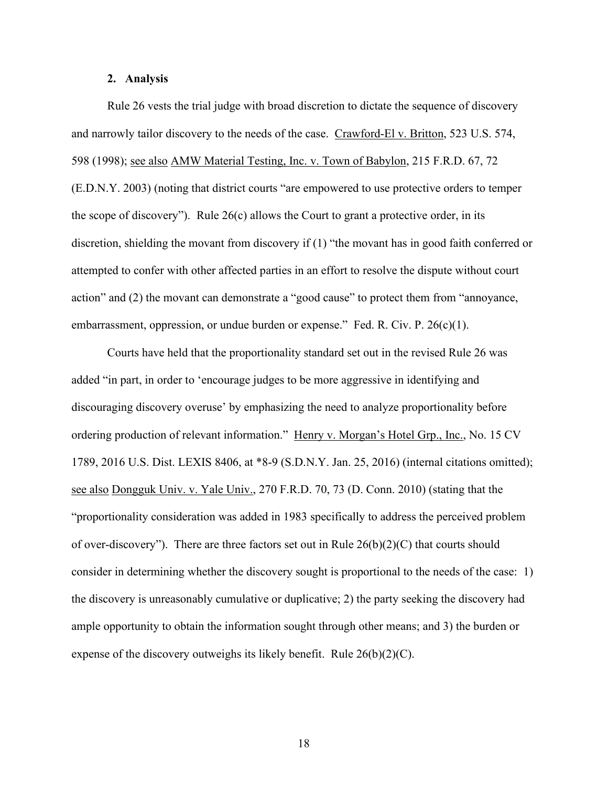### **2. Analysis**

Rule 26 vests the trial judge with broad discretion to dictate the sequence of discovery and narrowly tailor discovery to the needs of the case. Crawford-El v. Britton, 523 U.S. 574, 598 (1998); see also AMW Material Testing, Inc. v. Town of Babylon, 215 F.R.D. 67, 72 (E.D.N.Y. 2003) (noting that district courts "are empowered to use protective orders to temper the scope of discovery"). Rule  $26(c)$  allows the Court to grant a protective order, in its discretion, shielding the movant from discovery if (1) "the movant has in good faith conferred or attempted to confer with other affected parties in an effort to resolve the dispute without court action" and (2) the movant can demonstrate a "good cause" to protect them from "annoyance, embarrassment, oppression, or undue burden or expense." Fed. R. Civ. P. 26(c)(1).

Courts have held that the proportionality standard set out in the revised Rule 26 was added "in part, in order to 'encourage judges to be more aggressive in identifying and discouraging discovery overuse' by emphasizing the need to analyze proportionality before ordering production of relevant information." Henry v. Morgan's Hotel Grp., Inc., No. 15 CV 1789, 2016 U.S. Dist. LEXIS 8406, at \*8-9 (S.D.N.Y. Jan. 25, 2016) (internal citations omitted); see also Dongguk Univ. v. Yale Univ., 270 F.R.D. 70, 73 (D. Conn. 2010) (stating that the "proportionality consideration was added in 1983 specifically to address the perceived problem of over-discovery"). There are three factors set out in Rule  $26(b)(2)(C)$  that courts should consider in determining whether the discovery sought is proportional to the needs of the case: 1) the discovery is unreasonably cumulative or duplicative; 2) the party seeking the discovery had ample opportunity to obtain the information sought through other means; and 3) the burden or expense of the discovery outweighs its likely benefit. Rule 26(b)(2)(C).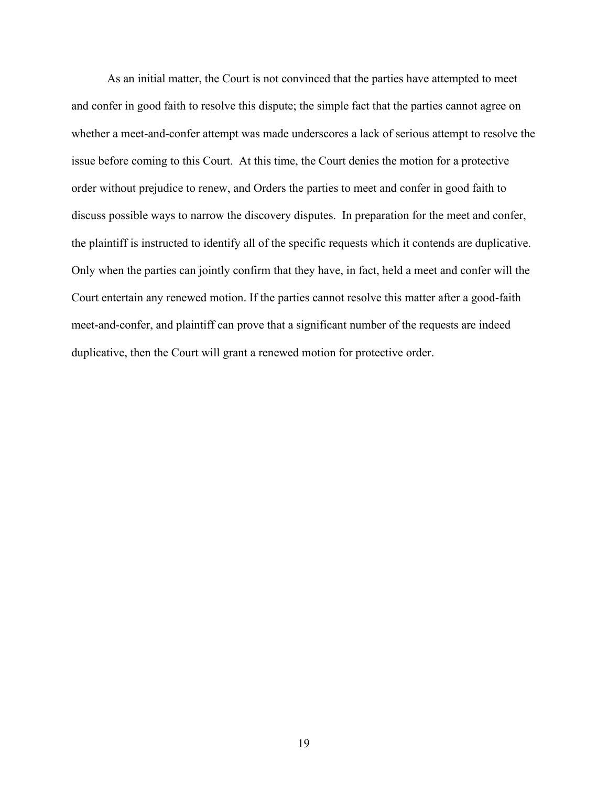As an initial matter, the Court is not convinced that the parties have attempted to meet and confer in good faith to resolve this dispute; the simple fact that the parties cannot agree on whether a meet-and-confer attempt was made underscores a lack of serious attempt to resolve the issue before coming to this Court. At this time, the Court denies the motion for a protective order without prejudice to renew, and Orders the parties to meet and confer in good faith to discuss possible ways to narrow the discovery disputes. In preparation for the meet and confer, the plaintiff is instructed to identify all of the specific requests which it contends are duplicative. Only when the parties can jointly confirm that they have, in fact, held a meet and confer will the Court entertain any renewed motion. If the parties cannot resolve this matter after a good-faith meet-and-confer, and plaintiff can prove that a significant number of the requests are indeed duplicative, then the Court will grant a renewed motion for protective order.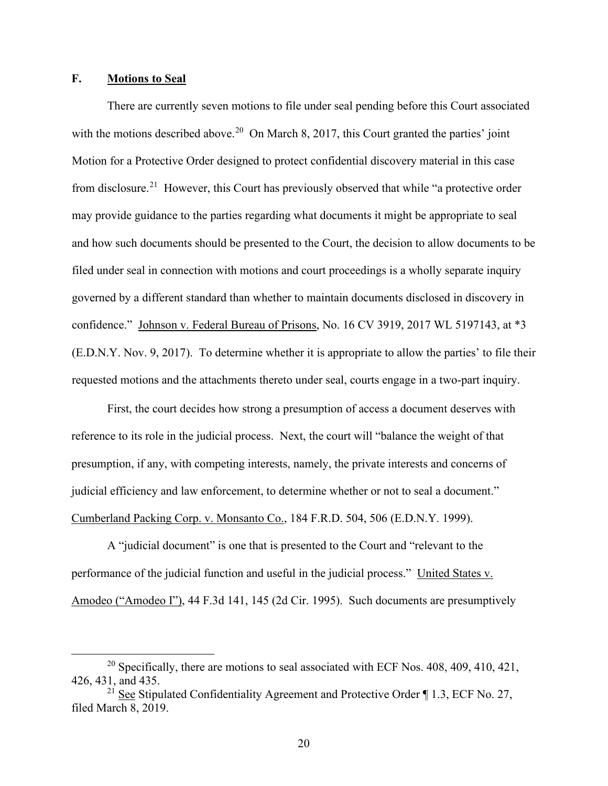# **F. Motions to Seal**

There are currently seven motions to file under seal pending before this Court associated with the motions described above.<sup>[20](#page-19-0)</sup> On March 8, 2017, this Court granted the parties' joint Motion for a Protective Order designed to protect confidential discovery material in this case from disclosure.<sup>[21](#page-19-1)</sup> However, this Court has previously observed that while "a protective order may provide guidance to the parties regarding what documents it might be appropriate to seal and how such documents should be presented to the Court, the decision to allow documents to be filed under seal in connection with motions and court proceedings is a wholly separate inquiry governed by a different standard than whether to maintain documents disclosed in discovery in confidence." Johnson v. Federal Bureau of Prisons, No. 16 CV 3919, 2017 WL 5197143, at \*3 (E.D.N.Y. Nov. 9, 2017). To determine whether it is appropriate to allow the parties' to file their requested motions and the attachments thereto under seal, courts engage in a two-part inquiry.

First, the court decides how strong a presumption of access a document deserves with reference to its role in the judicial process. Next, the court will "balance the weight of that presumption, if any, with competing interests, namely, the private interests and concerns of judicial efficiency and law enforcement, to determine whether or not to seal a document." Cumberland Packing Corp. v. Monsanto Co., 184 F.R.D. 504, 506 (E.D.N.Y. 1999).

A "judicial document" is one that is presented to the Court and "relevant to the performance of the judicial function and useful in the judicial process." United States v. Amodeo ("Amodeo I"), 44 F.3d 141, 145 (2d Cir. 1995). Such documents are presumptively

20

<span id="page-19-0"></span><sup>&</sup>lt;sup>20</sup> Specifically, there are motions to seal associated with ECF Nos.  $408$ ,  $409$ ,  $410$ ,  $421$ , 426, 431, and 435.

<span id="page-19-1"></span><sup>&</sup>lt;sup>21</sup> See Stipulated Confidentiality Agreement and Protective Order  $\P$  1.3, ECF No. 27, filed March 8, 2019.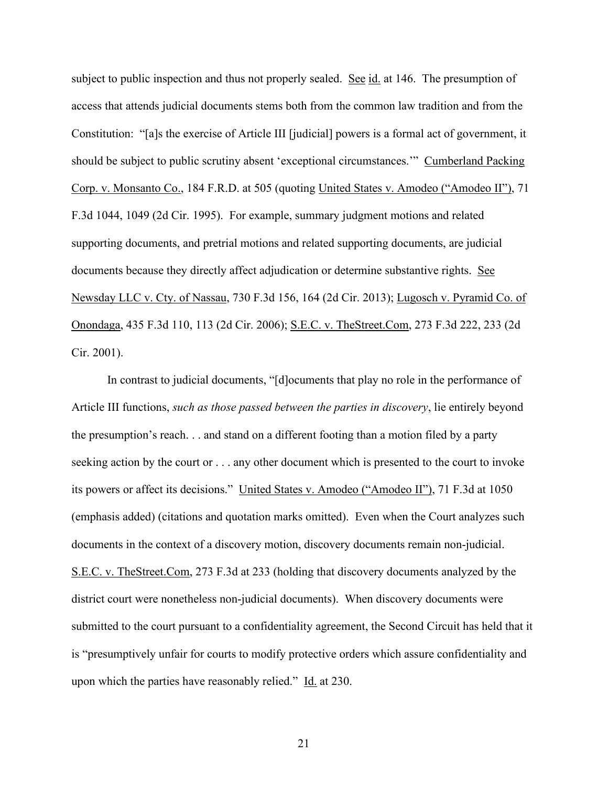subject to public inspection and thus not properly sealed. See id. at 146. The presumption of access that attends judicial documents stems both from the common law tradition and from the Constitution: "[a]s the exercise of Article III [judicial] powers is a formal act of government, it should be subject to public scrutiny absent 'exceptional circumstances.'" Cumberland Packing Corp. v. Monsanto Co., 184 F.R.D. at 505 (quoting United States v. Amodeo ("Amodeo II"), 71 F.3d 1044, 1049 (2d Cir. 1995). For example, summary judgment motions and related supporting documents, and pretrial motions and related supporting documents, are judicial documents because they directly affect adjudication or determine substantive rights. See Newsday LLC v. Cty. of Nassau, 730 F.3d 156, 164 (2d Cir. 2013); Lugosch v. Pyramid Co. of Onondaga, 435 F.3d 110, 113 (2d Cir. 2006); S.E.C. v. TheStreet.Com, 273 F.3d 222, 233 (2d Cir. 2001).

In contrast to judicial documents, "[d]ocuments that play no role in the performance of Article III functions, *such as those passed between the parties in discovery*, lie entirely beyond the presumption's reach. . . and stand on a different footing than a motion filed by a party seeking action by the court or . . . any other document which is presented to the court to invoke its powers or affect its decisions." United States v. Amodeo ("Amodeo II"), 71 F.3d at 1050 (emphasis added) (citations and quotation marks omitted). Even when the Court analyzes such documents in the context of a discovery motion, discovery documents remain non-judicial. S.E.C. v. TheStreet.Com, 273 F.3d at 233 (holding that discovery documents analyzed by the district court were nonetheless non-judicial documents). When discovery documents were submitted to the court pursuant to a confidentiality agreement, the Second Circuit has held that it is "presumptively unfair for courts to modify protective orders which assure confidentiality and upon which the parties have reasonably relied." Id. at 230.

21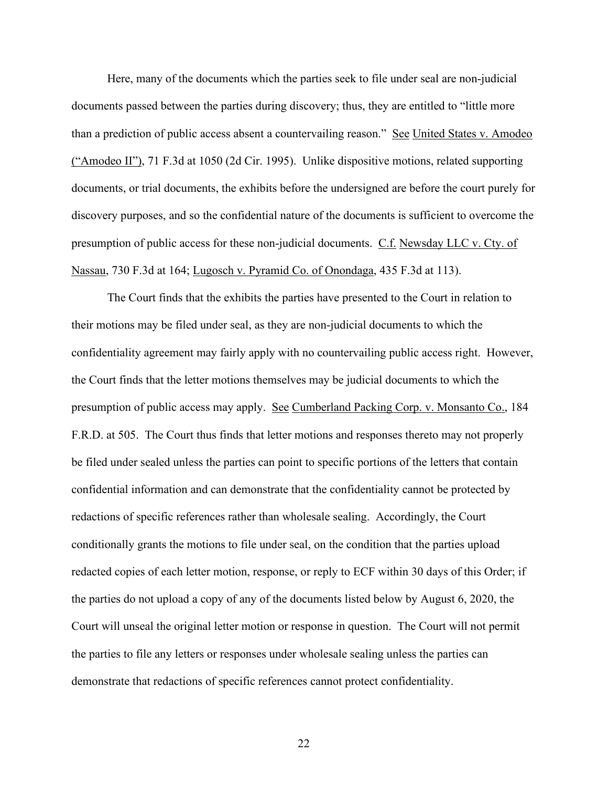Here, many of the documents which the parties seek to file under seal are non-judicial documents passed between the parties during discovery; thus, they are entitled to "little more than a prediction of public access absent a countervailing reason." See United States v. Amodeo ("Amodeo II"), 71 F.3d at 1050 (2d Cir. 1995). Unlike dispositive motions, related supporting documents, or trial documents, the exhibits before the undersigned are before the court purely for discovery purposes, and so the confidential nature of the documents is sufficient to overcome the presumption of public access for these non-judicial documents. C.f. Newsday LLC v. Cty. of Nassau, 730 F.3d at 164; Lugosch v. Pyramid Co. of Onondaga, 435 F.3d at 113).

The Court finds that the exhibits the parties have presented to the Court in relation to their motions may be filed under seal, as they are non-judicial documents to which the confidentiality agreement may fairly apply with no countervailing public access right. However, the Court finds that the letter motions themselves may be judicial documents to which the presumption of public access may apply. See Cumberland Packing Corp. v. Monsanto Co., 184 F.R.D. at 505. The Court thus finds that letter motions and responses thereto may not properly be filed under sealed unless the parties can point to specific portions of the letters that contain confidential information and can demonstrate that the confidentiality cannot be protected by redactions of specific references rather than wholesale sealing. Accordingly, the Court conditionally grants the motions to file under seal, on the condition that the parties upload redacted copies of each letter motion, response, or reply to ECF within 30 days of this Order; if the parties do not upload a copy of any of the documents listed below by August 6, 2020, the Court will unseal the original letter motion or response in question. The Court will not permit the parties to file any letters or responses under wholesale sealing unless the parties can demonstrate that redactions of specific references cannot protect confidentiality.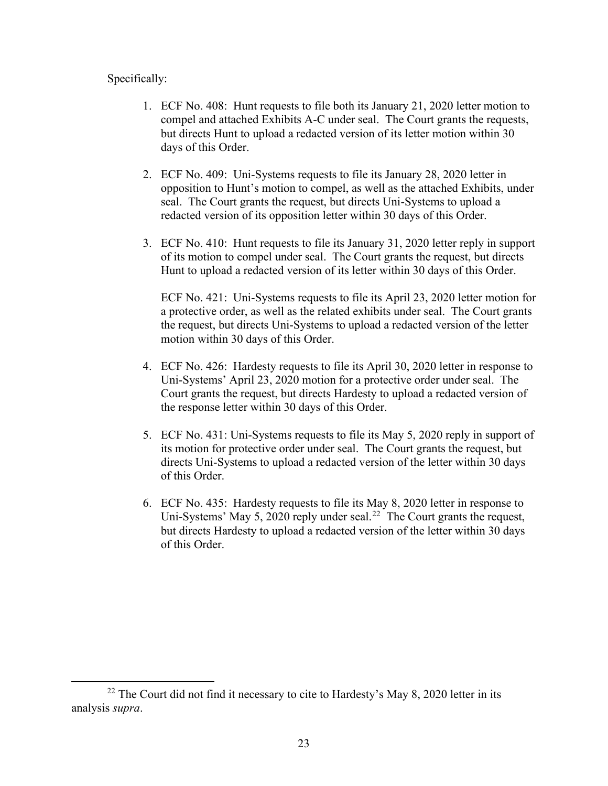# Specifically:

- 1. ECF No. 408: Hunt requests to file both its January 21, 2020 letter motion to compel and attached Exhibits A-C under seal. The Court grants the requests, but directs Hunt to upload a redacted version of its letter motion within 30 days of this Order.
- 2. ECF No. 409: Uni-Systems requests to file its January 28, 2020 letter in opposition to Hunt's motion to compel, as well as the attached Exhibits, under seal. The Court grants the request, but directs Uni-Systems to upload a redacted version of its opposition letter within 30 days of this Order.
- 3. ECF No. 410: Hunt requests to file its January 31, 2020 letter reply in support of its motion to compel under seal. The Court grants the request, but directs Hunt to upload a redacted version of its letter within 30 days of this Order.

ECF No. 421: Uni-Systems requests to file its April 23, 2020 letter motion for a protective order, as well as the related exhibits under seal. The Court grants the request, but directs Uni-Systems to upload a redacted version of the letter motion within 30 days of this Order.

- 4. ECF No. 426: Hardesty requests to file its April 30, 2020 letter in response to Uni-Systems' April 23, 2020 motion for a protective order under seal. The Court grants the request, but directs Hardesty to upload a redacted version of the response letter within 30 days of this Order.
- 5. ECF No. 431: Uni-Systems requests to file its May 5, 2020 reply in support of its motion for protective order under seal. The Court grants the request, but directs Uni-Systems to upload a redacted version of the letter within 30 days of this Order.
- 6. ECF No. 435: Hardesty requests to file its May 8, 2020 letter in response to Uni-Systems' May 5, 2020 reply under seal.<sup>[22](#page-22-0)</sup> The Court grants the request, but directs Hardesty to upload a redacted version of the letter within 30 days of this Order.

<span id="page-22-0"></span> $22$  The Court did not find it necessary to cite to Hardesty's May 8, 2020 letter in its analysis *supra*.